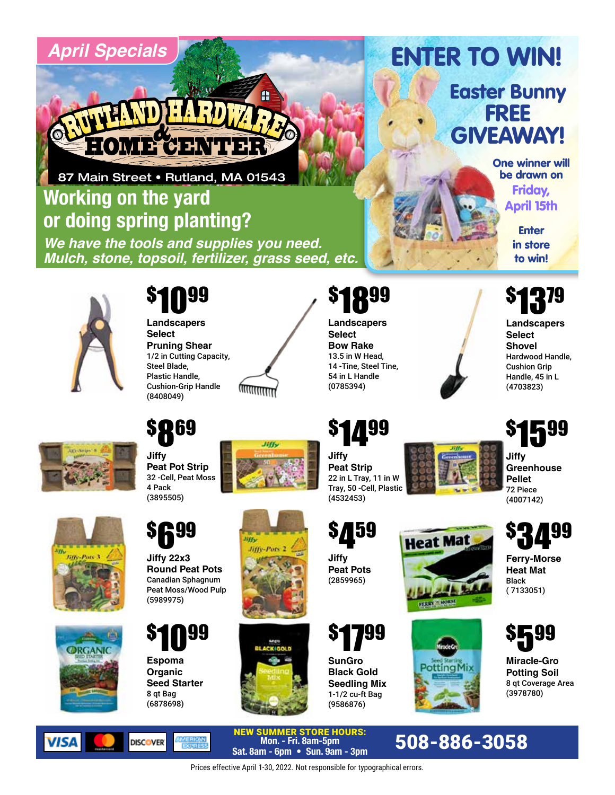# *April Specials*



87 Main Street • Rutland, MA 01543

# **Working on the yard or doing spring planting?**

*We have the tools and supplies you need. Mulch, stone, topsoil, fertilizer, grass seed, etc.*



## \$ 1099

**Landscapers Select Pruning Shear** 1/2 in Cutting Capacity, Steel Blade, Plastic Handle, Cushion-Grip Handle (8408049)



**JIH** 

### \$ 1899

**Landscapers Select Bow Rake** 13.5 in W Head, 14 -Tine, Steel Tine, 54 in L Handle (0785394)

# **\$14**99<br>...

**Jiffy Peat Strip** 22 in L Tray, 11 in W Tray, 50 -Cell, Plastic (4532453)

459



**Jiffy Greenhouse Pellet**  72 Piece (4007142)





**VISA** 

**Espoma Organic** \$ 1099

**Jiffy 22x3 Round Peat Pots** Canadian Sphagnum

**699** 

**Peat Pot Strip**  32 -Cell, Peat Moss

\$ 869

\$

**Jiffy** 

4 Pack (3895505)

(5989975)

**Seed Starter** 8 qt Bag (6878698)

**DISCOVER** 





# \$ 1799

**Jiffy Peat Pots** (2859965)

\$

**SunGro Black Gold Seedling Mix**  1-1/2 cu-ft Bag (9586876)

NEW SUMMER STORE HOURS: **Mon. - Fri. 8am-5pm Sat. 8am - Fri. 8am - 5pm**<br>Sat. 8am - 6pm • Sun. 9am - 3pm<br>**Sat. 8am - 6pm • Sun. 9am - 3pm** 





# ( 7133051)

**Ferry-Morse Heat Mat**  Black

3499

\$



**Miracle-Gro Potting Soil** 8 qt Coverage Area (3978780)

Prices effective April 1-30, 2022. Not responsible for typographical errors.

Easter Bunny FREE GIVEAWAY!

ENTER TO WIN!

One winner will be drawn on Friday, April 15th

**Enter** in store to win!



**Landscapers Select Shovel** Hardwood Handle, Cushion Grip Handle, 45 in L (4703823)

\$ 1599